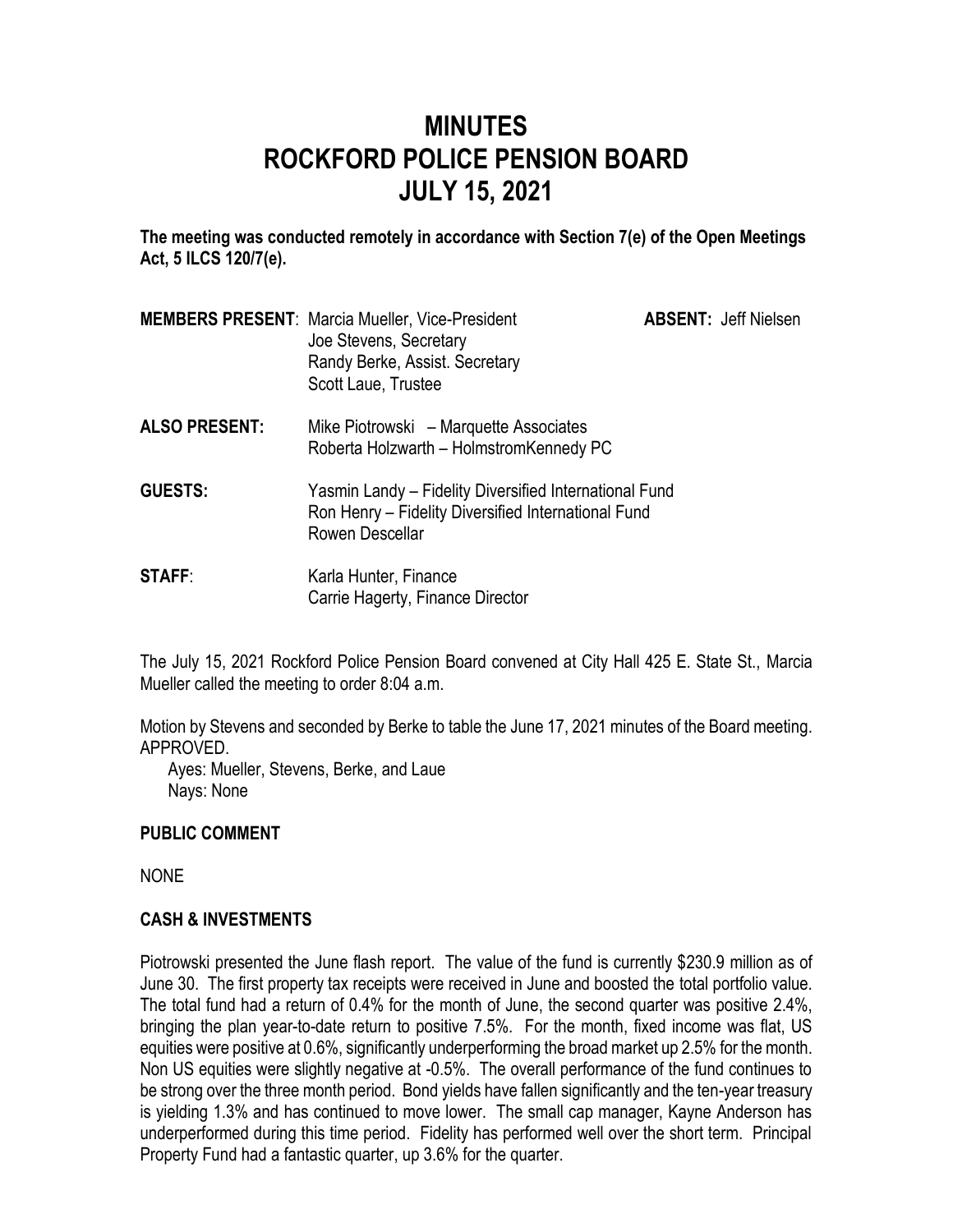# **MINUTES ROCKFORD POLICE PENSION BOARD JULY 15, 2021**

**The meeting was conducted remotely in accordance with Section 7(e) of the Open Meetings Act, 5 ILCS 120/7(e).**

|                      | <b>MEMBERS PRESENT: Marcia Mueller, Vice-President</b><br>Joe Stevens, Secretary<br>Randy Berke, Assist. Secretary<br>Scott Laue, Trustee | <b>ABSENT: Jeff Nielsen</b> |
|----------------------|-------------------------------------------------------------------------------------------------------------------------------------------|-----------------------------|
| <b>ALSO PRESENT:</b> | Mike Piotrowski – Marquette Associates<br>Roberta Holzwarth - HolmstromKennedy PC                                                         |                             |
| <b>GUESTS:</b>       | Yasmin Landy - Fidelity Diversified International Fund<br>Ron Henry – Fidelity Diversified International Fund<br>Rowen Descellar          |                             |
| <b>STAFF:</b>        | Karla Hunter, Finance<br>Carrie Hagerty, Finance Director                                                                                 |                             |

The July 15, 2021 Rockford Police Pension Board convened at City Hall 425 E. State St., Marcia Mueller called the meeting to order 8:04 a.m.

Motion by Stevens and seconded by Berke to table the June 17, 2021 minutes of the Board meeting. APPROVED.

Ayes: Mueller, Stevens, Berke, and Laue Nays: None

## **PUBLIC COMMENT**

NONE

## **CASH & INVESTMENTS**

Piotrowski presented the June flash report. The value of the fund is currently \$230.9 million as of June 30. The first property tax receipts were received in June and boosted the total portfolio value. The total fund had a return of 0.4% for the month of June, the second quarter was positive 2.4%, bringing the plan year-to-date return to positive 7.5%. For the month, fixed income was flat, US equities were positive at 0.6%, significantly underperforming the broad market up 2.5% for the month. Non US equities were slightly negative at -0.5%. The overall performance of the fund continues to be strong over the three month period. Bond yields have fallen significantly and the ten-year treasury is yielding 1.3% and has continued to move lower. The small cap manager, Kayne Anderson has underperformed during this time period. Fidelity has performed well over the short term. Principal Property Fund had a fantastic quarter, up 3.6% for the quarter.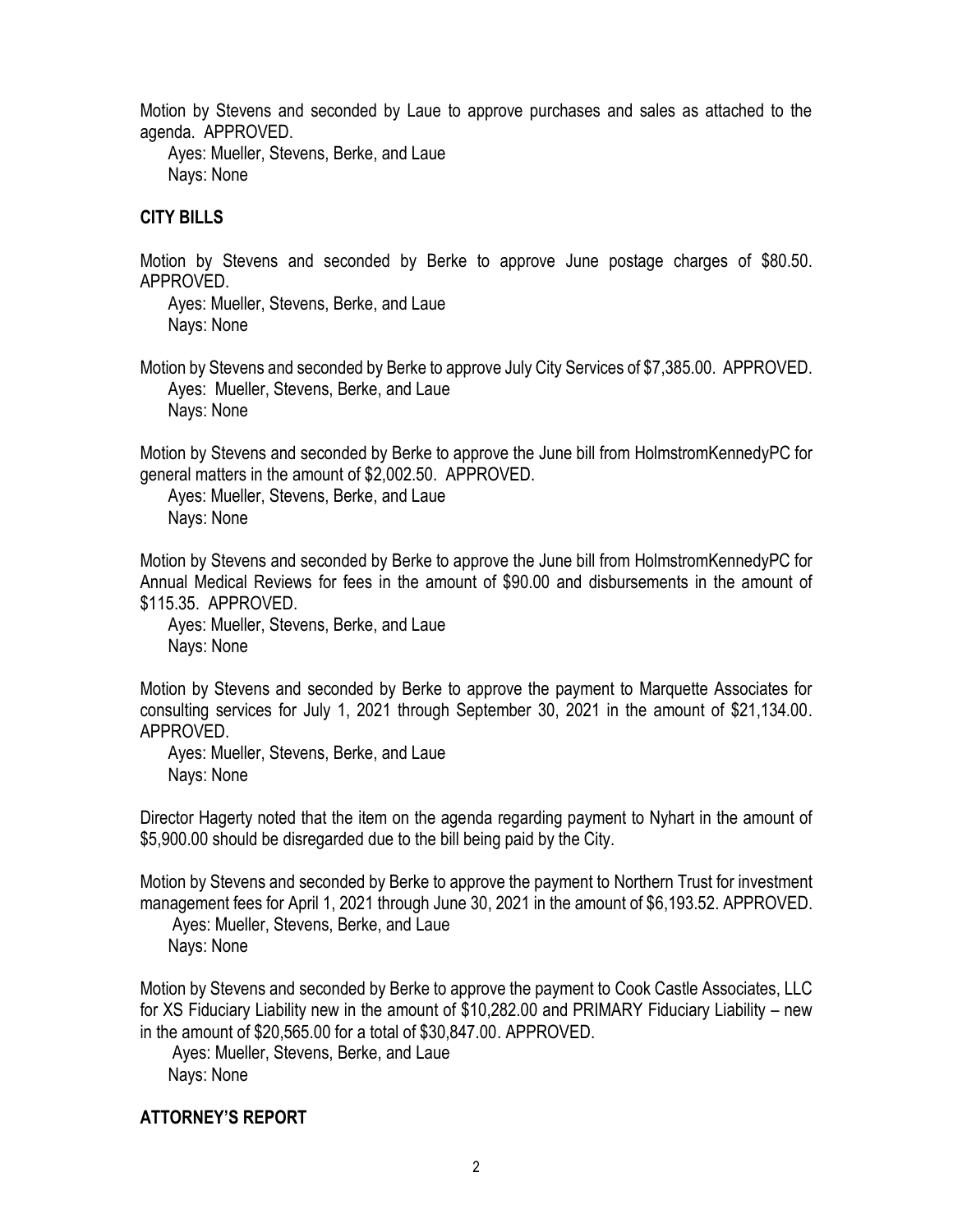Motion by Stevens and seconded by Laue to approve purchases and sales as attached to the agenda. APPROVED.

Ayes: Mueller, Stevens, Berke, and Laue Nays: None

#### **CITY BILLS**

Motion by Stevens and seconded by Berke to approve June postage charges of \$80.50. APPROVED.

Ayes: Mueller, Stevens, Berke, and Laue Nays: None

Motion by Stevens and seconded by Berke to approve July City Services of \$7,385.00. APPROVED. Ayes: Mueller, Stevens, Berke, and Laue Nays: None

Motion by Stevens and seconded by Berke to approve the June bill from HolmstromKennedyPC for general matters in the amount of \$2,002.50. APPROVED.

Ayes: Mueller, Stevens, Berke, and Laue Nays: None

Motion by Stevens and seconded by Berke to approve the June bill from HolmstromKennedyPC for Annual Medical Reviews for fees in the amount of \$90.00 and disbursements in the amount of \$115.35. APPROVED.

Ayes: Mueller, Stevens, Berke, and Laue Nays: None

Motion by Stevens and seconded by Berke to approve the payment to Marquette Associates for consulting services for July 1, 2021 through September 30, 2021 in the amount of \$21,134.00. APPROVED.

Ayes: Mueller, Stevens, Berke, and Laue Nays: None

Director Hagerty noted that the item on the agenda regarding payment to Nyhart in the amount of \$5,900.00 should be disregarded due to the bill being paid by the City.

Motion by Stevens and seconded by Berke to approve the payment to Northern Trust for investment management fees for April 1, 2021 through June 30, 2021 in the amount of \$6,193.52. APPROVED.

Ayes: Mueller, Stevens, Berke, and Laue Nays: None

Motion by Stevens and seconded by Berke to approve the payment to Cook Castle Associates, LLC for XS Fiduciary Liability new in the amount of \$10,282.00 and PRIMARY Fiduciary Liability – new in the amount of \$20,565.00 for a total of \$30,847.00. APPROVED.

Ayes: Mueller, Stevens, Berke, and Laue Nays: None

## **ATTORNEY'S REPORT**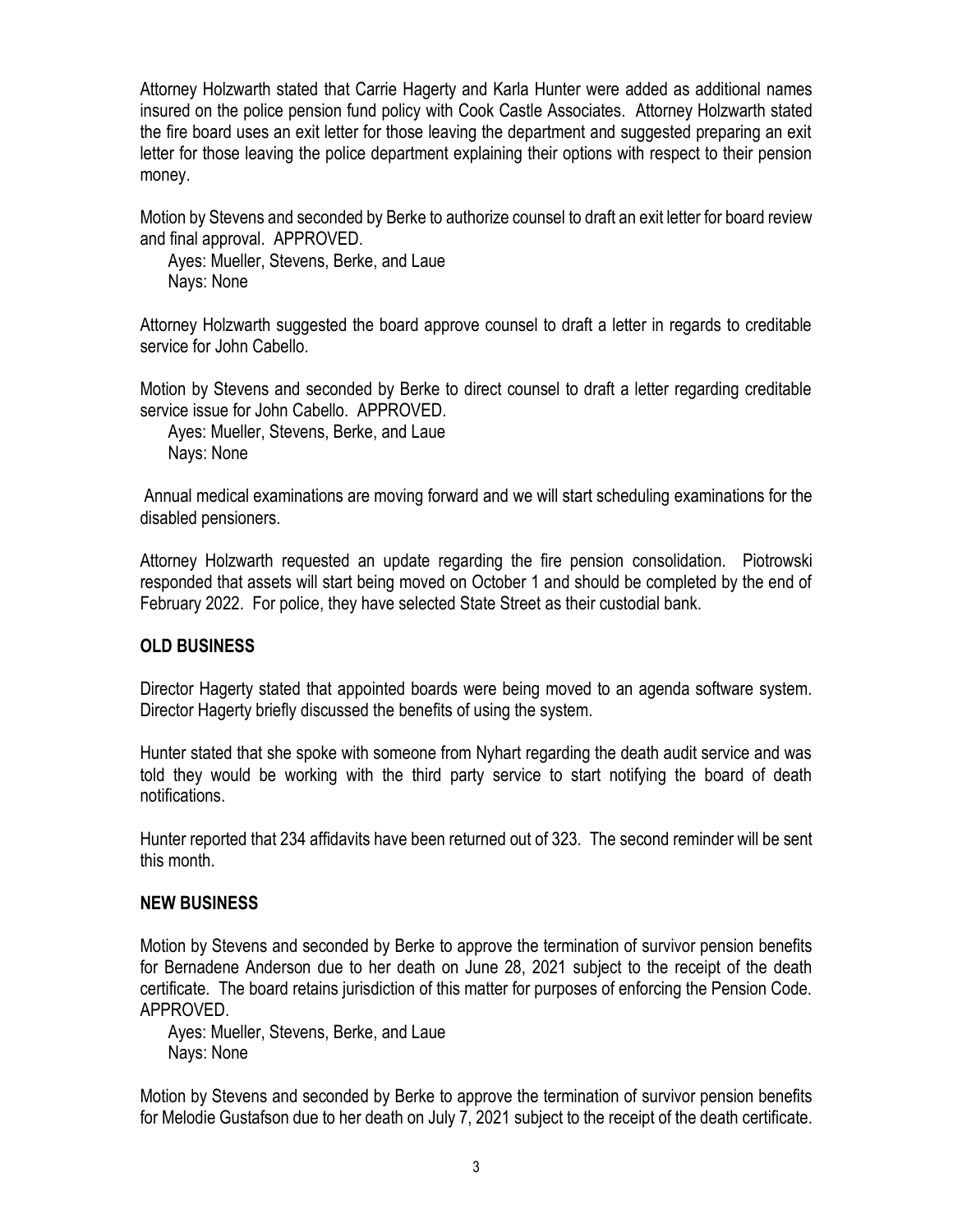Attorney Holzwarth stated that Carrie Hagerty and Karla Hunter were added as additional names insured on the police pension fund policy with Cook Castle Associates. Attorney Holzwarth stated the fire board uses an exit letter for those leaving the department and suggested preparing an exit letter for those leaving the police department explaining their options with respect to their pension money.

Motion by Stevens and seconded by Berke to authorize counsel to draft an exit letter for board review and final approval. APPROVED.

Ayes: Mueller, Stevens, Berke, and Laue Nays: None

Attorney Holzwarth suggested the board approve counsel to draft a letter in regards to creditable service for John Cabello.

Motion by Stevens and seconded by Berke to direct counsel to draft a letter regarding creditable service issue for John Cabello. APPROVED.

Ayes: Mueller, Stevens, Berke, and Laue Nays: None

Annual medical examinations are moving forward and we will start scheduling examinations for the disabled pensioners.

Attorney Holzwarth requested an update regarding the fire pension consolidation. Piotrowski responded that assets will start being moved on October 1 and should be completed by the end of February 2022. For police, they have selected State Street as their custodial bank.

## **OLD BUSINESS**

Director Hagerty stated that appointed boards were being moved to an agenda software system. Director Hagerty briefly discussed the benefits of using the system.

Hunter stated that she spoke with someone from Nyhart regarding the death audit service and was told they would be working with the third party service to start notifying the board of death notifications.

Hunter reported that 234 affidavits have been returned out of 323. The second reminder will be sent this month.

#### **NEW BUSINESS**

Motion by Stevens and seconded by Berke to approve the termination of survivor pension benefits for Bernadene Anderson due to her death on June 28, 2021 subject to the receipt of the death certificate. The board retains jurisdiction of this matter for purposes of enforcing the Pension Code. APPROVED.

Ayes: Mueller, Stevens, Berke, and Laue Nays: None

Motion by Stevens and seconded by Berke to approve the termination of survivor pension benefits for Melodie Gustafson due to her death on July 7, 2021 subject to the receipt of the death certificate.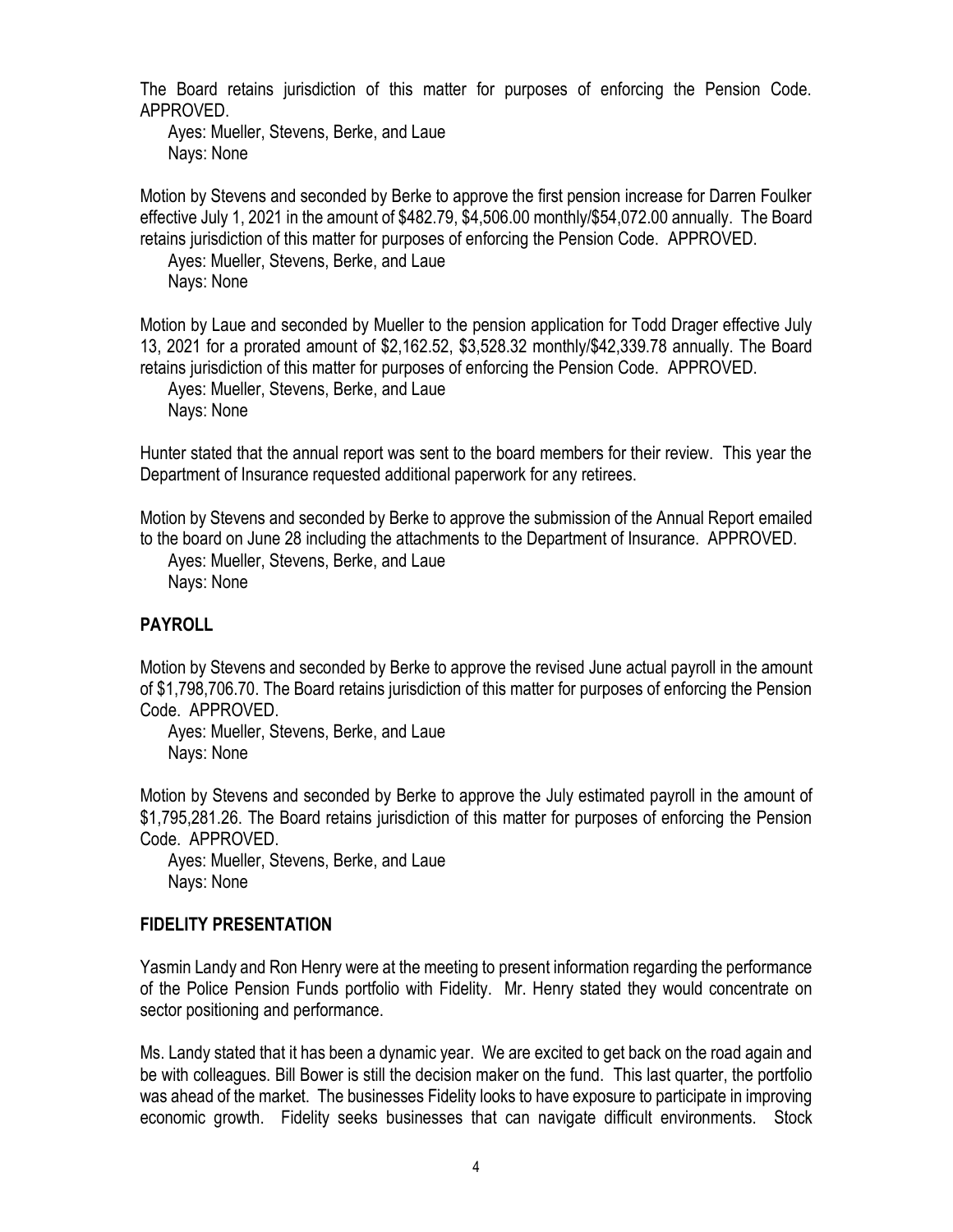The Board retains jurisdiction of this matter for purposes of enforcing the Pension Code. APPROVED.

Ayes: Mueller, Stevens, Berke, and Laue Nays: None

Motion by Stevens and seconded by Berke to approve the first pension increase for Darren Foulker effective July 1, 2021 in the amount of \$482.79, \$4,506.00 monthly/\$54,072.00 annually. The Board retains jurisdiction of this matter for purposes of enforcing the Pension Code. APPROVED.

Ayes: Mueller, Stevens, Berke, and Laue Nays: None

Motion by Laue and seconded by Mueller to the pension application for Todd Drager effective July 13, 2021 for a prorated amount of \$2,162.52, \$3,528.32 monthly/\$42,339.78 annually. The Board retains jurisdiction of this matter for purposes of enforcing the Pension Code. APPROVED.

Ayes: Mueller, Stevens, Berke, and Laue Nays: None

Hunter stated that the annual report was sent to the board members for their review. This year the Department of Insurance requested additional paperwork for any retirees.

Motion by Stevens and seconded by Berke to approve the submission of the Annual Report emailed to the board on June 28 including the attachments to the Department of Insurance. APPROVED.

Ayes: Mueller, Stevens, Berke, and Laue Nays: None

## **PAYROLL**

Motion by Stevens and seconded by Berke to approve the revised June actual payroll in the amount of \$1,798,706.70. The Board retains jurisdiction of this matter for purposes of enforcing the Pension Code. APPROVED.

Ayes: Mueller, Stevens, Berke, and Laue Nays: None

Motion by Stevens and seconded by Berke to approve the July estimated payroll in the amount of \$1,795,281.26. The Board retains jurisdiction of this matter for purposes of enforcing the Pension Code. APPROVED.

Ayes: Mueller, Stevens, Berke, and Laue Nays: None

## **FIDELITY PRESENTATION**

Yasmin Landy and Ron Henry were at the meeting to present information regarding the performance of the Police Pension Funds portfolio with Fidelity. Mr. Henry stated they would concentrate on sector positioning and performance.

Ms. Landy stated that it has been a dynamic year. We are excited to get back on the road again and be with colleagues. Bill Bower is still the decision maker on the fund. This last quarter, the portfolio was ahead of the market. The businesses Fidelity looks to have exposure to participate in improving economic growth. Fidelity seeks businesses that can navigate difficult environments. Stock